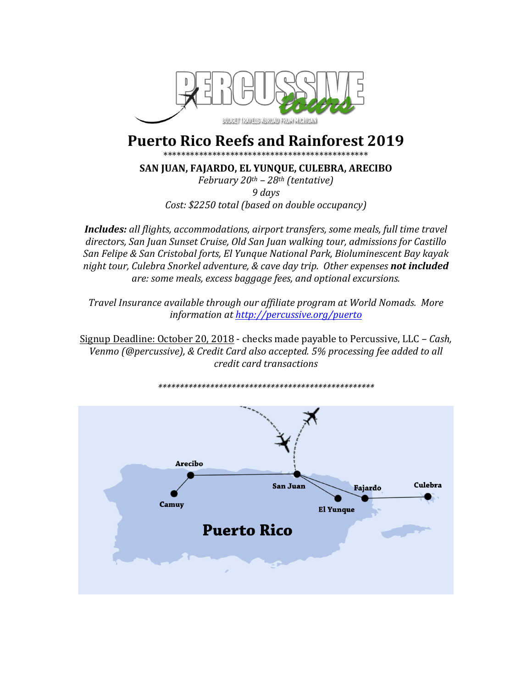

# **Puerto Rico Reefs and Rainforest 2019**

\*\*\*\*\*\*\*\*\*\*\*\*\*\*\*\*\*\*\*\*\*\*\*\*\*\*\*\*\*\*\*\*\*\*\*\*\*\*

SAN JUAN, FAJARDO, EL YUNQUE, CULEBRA, ARECIBO

February  $20^{th}$  –  $28^{th}$  (tentative) 9 days Cost: \$2250 total (based on double occupancy)

**Includes:** all flights, accommodations, airport transfers, some meals, full time travel directors, San Juan Sunset Cruise, Old San Juan walking tour, admissions for Castillo San Felipe & San Cristobal forts, El Yunque National Park, Bioluminescent Bay kayak night tour, Culebra Snorkel adventure, & cave day trip. Other expenses not included are: some meals, excess baggage fees, and optional excursions.

Travel Insurance available through our affiliate program at World Nomads. More information at http://percussive.org/puerto

Signup Deadline: October 20, 2018 - checks made payable to Percussive, LLC - Cash, Venmo (@percussive), & Credit Card also accepted. 5% processing fee added to all credit card transactions

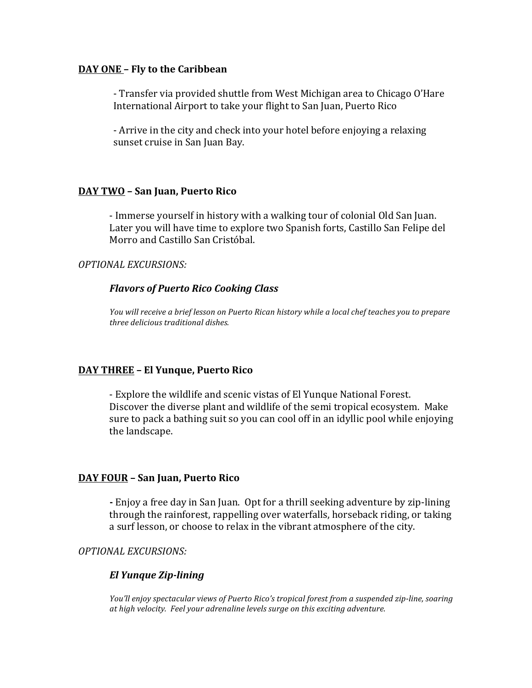#### **DAY ONE - Fly to the Caribbean**

- Transfer via provided shuttle from West Michigan area to Chicago O'Hare International Airport to take your flight to San Juan, Puerto Rico

- Arrive in the city and check into your hotel before enjoying a relaxing sunset cruise in San Juan Bay.

### **DAY TWO – San Juan, Puerto Rico**

- Immerse yourself in history with a walking tour of colonial Old San Juan. Later you will have time to explore two Spanish forts, Castillo San Felipe del Morro and Castillo San Cristóbal.

# *OPTIONAL EXCURSIONS:*

## *Flavors of Puerto Rico Cooking Class*

You will receive a brief lesson on Puerto Rican history while a local chef teaches you to prepare *three delicious traditional dishes.*

# **DAY THREE – El Yunque, Puerto Rico**

- Explore the wildlife and scenic vistas of El Yunque National Forest. Discover the diverse plant and wildlife of the semi tropical ecosystem. Make sure to pack a bathing suit so you can cool off in an idyllic pool while enjoying the landscape.

### **DAY FOUR – San Juan, Puerto Rico**

**-** Enjoy a free day in San Juan. Opt for a thrill seeking adventure by zip-lining through the rainforest, rappelling over waterfalls, horseback riding, or taking a surf lesson, or choose to relax in the vibrant atmosphere of the city.

## *OPTIONAL EXCURSIONS:*

### *El Yunque Zip-lining*

*You'll enjoy spectacular views of Puerto Rico's tropical forest from a suspended zip-line, soaring* at high velocity. Feel your adrenaline levels surge on this exciting adventure.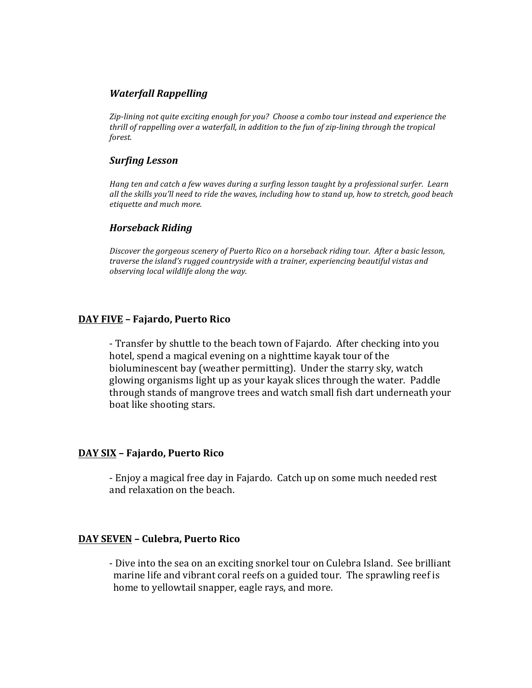## *Waterfall Rappelling*

*Zip-lining not quite exciting enough for you? Choose a combo tour instead and experience the thrill* of rappelling over a waterfall, in addition to the fun of zip-lining through the tropical *forest.*

#### *Surfing Lesson*

*Hang* ten and catch a few waves during a surfing lesson taught by a professional surfer. Learn all the skills you'll need to ride the waves, including how to stand up, how to stretch, good beach *etiquette and much more.* 

#### *Horseback Riding*

Discover the gorgeous scenery of Puerto Rico on a horseback riding tour. After a basic lesson, *traverse the island's rugged countryside with a trainer, experiencing beautiful vistas and observing local wildlife along the way.* 

### **DAY FIVE – Fajardo, Puerto Rico**

- Transfer by shuttle to the beach town of Fajardo. After checking into you hotel, spend a magical evening on a nighttime kayak tour of the bioluminescent bay (weather permitting). Under the starry sky, watch glowing organisms light up as your kayak slices through the water. Paddle through stands of mangrove trees and watch small fish dart underneath your boat like shooting stars.

### **DAY SIX – Fajardo, Puerto Rico**

- Enjoy a magical free day in Fajardo. Catch up on some much needed rest and relaxation on the beach.

### **DAY SEVEN – Culebra, Puerto Rico**

- Dive into the sea on an exciting snorkel tour on Culebra Island. See brilliant marine life and vibrant coral reefs on a guided tour. The sprawling reef is home to yellowtail snapper, eagle rays, and more.